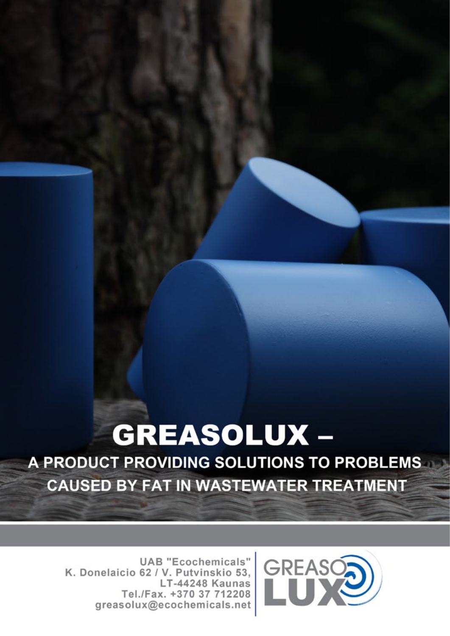# **GREASOLUX -**

A PRODUCT PROVIDING SOLUTIONS TO PROBLEMS **CAUSED BY FAT IN WASTEWATER TREATMENT** 

**UAB** "Ecochemicals" K. Donelaicio 62 / V. Putvinskio 53, LT-44248 Kaunas Tel./Fax. +370 37 712208 greasolux@ecochemicals.net

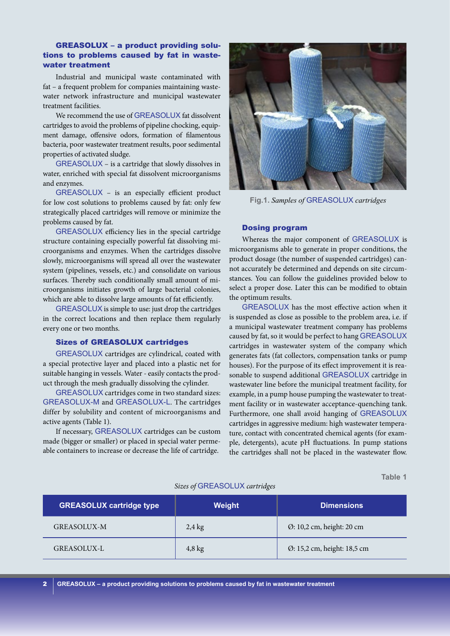## GREASOLUX – a product providing solutions to problems caused by fat in wastewater treatment

Industrial and municipal waste contaminated with fat – a frequent problem for companies maintaining wastewater network infrastructure and municipal wastewater treatment facilities.

We recommend the use of GREASOLUX fat dissolvent cartridges to avoid the problems of pipeline chocking, equipment damage, offensive odors, formation of filamentous bacteria, poor wastewater treatment results, poor sedimental properties of activated sludge.

GREASOLUX – is a cartridge that slowly dissolves in water, enriched with special fat dissolvent microorganisms and enzymes.

GREASOLUX – is an especially efficient product for low cost solutions to problems caused by fat: only few strategically placed cartridges will remove or minimize the problems caused by fat.

GREASOLUX efficiency lies in the special cartridge structure containing especially powerful fat dissolving microorganisms and enzymes. When the cartridges dissolve slowly, microorganisms will spread all over the wastewater system (pipelines, vessels, etc.) and consolidate on various surfaces. Thereby such conditionally small amount of microorganisms initiates growth of large bacterial colonies, which are able to dissolve large amounts of fat efficiently.

GREASOLUX is simple to use: just drop the cartridges in the correct locations and then replace them regularly every one or two months.

## Sizes of GREASOLUX cartridges

GREASOLUX cartridges are cylindrical, coated with a special protective layer and placed into a plastic net for suitable hanging in vessels. Water - easily contacts the product through the mesh gradually dissolving the cylinder.

GREASOLUX cartridges come in two standard sizes: GREASOLUX-M and GREASOLUX-L. The cartridges differ by solubility and content of microorganisms and active agents (Table 1).

If necessary, GREASOLUX cartridges can be custom made (bigger or smaller) or placed in special water permeable containers to increase or decrease the life of cartridge.



**Fig.1.** *Samples of* GREASOLUX *cartridges*

#### Dosing program

Whereas the major component of GREASOLUX is microorganisms able to generate in proper conditions, the product dosage (the number of suspended cartridges) cannot accurately be determined and depends on site circumstances. You can follow the guidelines provided below to select a proper dose. Later this can be modified to obtain the optimum results.

GREASOLUX has the most effective action when it is suspended as close as possible to the problem area, i.e. if a municipal wastewater treatment company has problems caused by fat, so it would be perfect to hang GREASOLUX cartridges in wastewater system of the company which generates fats (fat collectors, compensation tanks or pump houses). For the purpose of its effect improvement it is reasonable to suspend additional GREASOLUX cartridge in wastewater line before the municipal treatment facility, for example, in a pump house pumping the wastewater to treatment facility or in wastewater acceptance-quenching tank. Furthermore, one shall avoid hanging of GREASOLUX cartridges in aggressive medium: high wastewater temperature, contact with concentrated chemical agents (for example, detergents), acute pH fluctuations. In pump stations the cartridges shall not be placed in the wastewater flow.

**Table 1** 

| <b>GREASOLUX cartridge type</b> | Weight           | <b>Dimensions</b>           |
|---------------------------------|------------------|-----------------------------|
| <b>GREASOLUX-M</b>              | $2.4 \text{ kg}$ | Ø: 10,2 cm, height: 20 cm   |
| GREASOLUX-L                     | $4,8$ kg         | Ø: 15,2 cm, height: 18,5 cm |

#### *Sizes of* GREASOLUX *cartridges*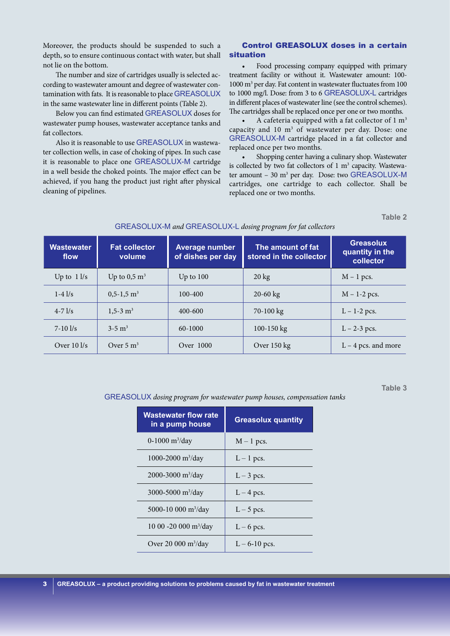Moreover, the products should be suspended to such a depth, so to ensure continuous contact with water, but shall not lie on the bottom.

The number and size of cartridges usually is selected according to wastewater amount and degree of wastewater contamination with fats. It is reasonable to place GREASOLUX in the same wastewater line in different points (Table 2).

Below you can find estimated GREASOLUX doses for wastewater pump houses, wastewater acceptance tanks and fat collectors.

Also it is reasonable to use GREASOLUX in wastewater collection wells, in case of choking of pipes. In such case it is reasonable to place one GREASOLUX-M cartridge in a well beside the choked points. The major effect can be achieved, if you hang the product just right after physical cleaning of pipelines.

## Control GREASOLUX doses in a certain situation

Food processing company equipped with primary treatment facility or without it. Wastewater amount: 100- 1000 m3 per day. Fat content in wastewater fluctuates from 100 to 1000 mg/l. Dose: from 3 to 6 GREASOLUX-L cartridges in different places of wastewater line (see the control schemes). The cartridges shall be replaced once per one or two months.

A cafeteria equipped with a fat collector of  $1 \text{ m}^3$ capacity and  $10 \text{ m}^3$  of wastewater per day. Dose: one GREASOLUX-M cartridge placed in a fat collector and replaced once per two months.

Shopping center having a culinary shop. Wastewater is collected by two fat collectors of  $1 \text{ m}^3$  capacity. Wastewater amount – 30 m<sup>3</sup> per day. Dose: two GREASOLUX-M cartridges, one cartridge to each collector. Shall be replaced one or two months.

**Table 2**

| <b>Wastewater</b><br>flow            | <b>Fat collector</b><br>volume | <b>Average number</b><br>of dishes per day | The amount of fat<br>stored in the collector | <b>Greasolux</b><br>quantity in the<br>collector |
|--------------------------------------|--------------------------------|--------------------------------------------|----------------------------------------------|--------------------------------------------------|
| Up to $11/s$                         | Up to $0.5 \text{ m}^3$        | Up to $100$                                | $20 \text{ kg}$                              | $M - 1$ pcs.                                     |
| $1-4$ $1/s$                          | $0.5 - 1.5$ m <sup>3</sup>     | $100 - 400$                                | $20 - 60$ kg                                 | $M - 1-2$ pcs.                                   |
| $4 - 71/s$                           | $1,5-3$ m <sup>3</sup>         | $400 - 600$                                | 70-100 kg                                    | $L - 1 - 2$ pcs.                                 |
| $7 - 10$ $1/s$                       | $3-5 \text{ m}^3$              | $60 - 1000$                                | 100-150 $kg$                                 | $L - 2 - 3$ pcs.                                 |
| Over $10 \frac{\text{kg}}{\text{s}}$ | Over $5 \text{ m}^3$           | Over 1000                                  | Over $150 \text{ kg}$                        | $L - 4$ pcs. and more                            |

## Greasolux-M *and* Greasolux-L *dosing program for fat collectors*

**Table 3**

GREASOLUX dosing program for wastewater pump houses, compensation tanks

| <b>Wastewater flow rate</b><br>in a pump house | <b>Greasolux quantity</b> |
|------------------------------------------------|---------------------------|
| 0-1000 $\rm m^3$ /day                          | $M-1$ pcs.                |
| 1000-2000 m <sup>3</sup> /day                  | $L-1$ pcs.                |
| $2000 - 3000$ m <sup>3</sup> /day              | $L-3$ pcs.                |
| 3000-5000 $m^3$ /day                           | $L-4$ pcs.                |
| 5000-10 000 m <sup>3</sup> /day                | $L-5$ pcs.                |
| 10 00 -20 000 m <sup>3</sup> /day              | $L - 6$ pcs.              |
| Over 20 000 $m^3$ /day                         | $L - 6 - 10$ pcs.         |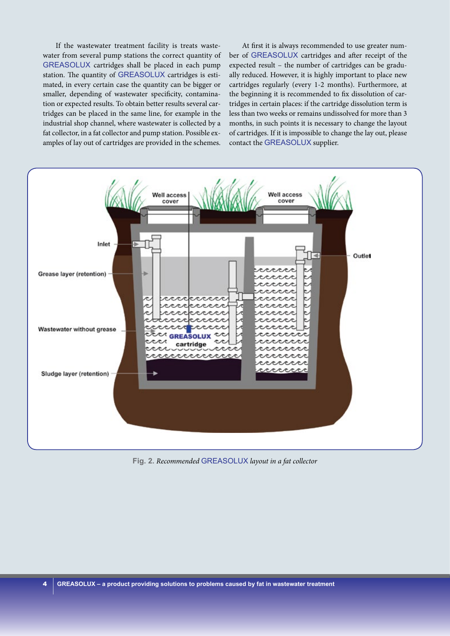If the wastewater treatment facility is treats wastewater from several pump stations the correct quantity of GREASOLUX cartridges shall be placed in each pump station. The quantity of GREASOLUX cartridges is estimated, in every certain case the quantity can be bigger or smaller, depending of wastewater specificity, contamination or expected results. To obtain better results several cartridges can be placed in the same line, for example in the industrial shop channel, where wastewater is collected by a fat collector, in a fat collector and pump station. Possible examples of lay out of cartridges are provided in the schemes.

At first it is always recommended to use greater number of GREASOLUX cartridges and after receipt of the expected result – the number of cartridges can be gradually reduced. However, it is highly important to place new cartridges regularly (every 1-2 months). Furthermore, at the beginning it is recommended to fix dissolution of cartridges in certain places: if the cartridge dissolution term is less than two weeks or remains undissolved for more than 3 months, in such points it is necessary to change the layout of cartridges. If it is impossible to change the lay out, please contact the GREASOLUX supplier.



**Fig. 2.** *Recommended* GREASOLUX *layout in a fat collector*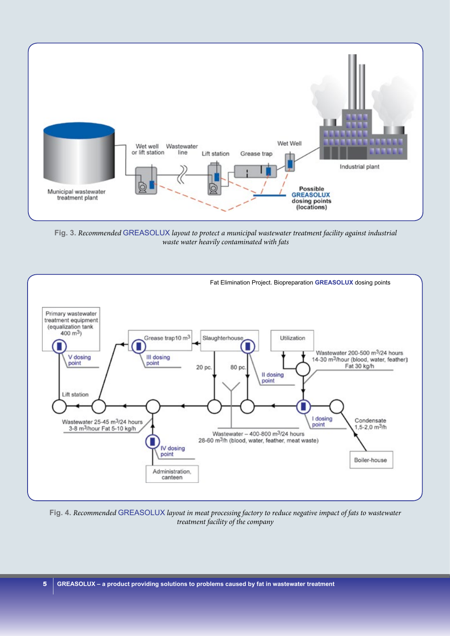

**Fig. 3.** *Recommended* GREASOLUX *layout to protect a municipal wastewater treatment facility against industrial waste water heavily contaminated with fats*



**Fig. 4.** *Recommended* GREASOLUX *layout in meat processing factory to reduce negative impact of fats to wastewater treatment facility of the company*